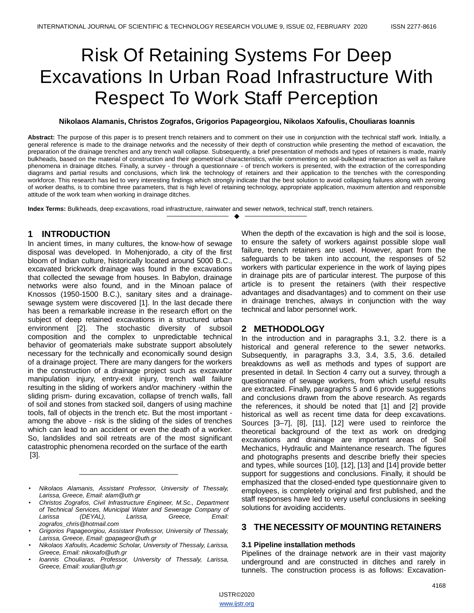# Risk Of Retaining Systems For Deep Excavations In Urban Road Infrastructure With Respect To Work Staff Perception

#### **Nikolaos Alamanis, Christos Zografos, Grigorios Papageorgiou, Nikolaos Xafoulis, Chouliaras Ioannis**

**Abstract:** The purpose of this paper is to present trench retainers and to comment on their use in conjunction with the technical staff work. Initially, a general reference is made to the drainage networks and the necessity of their depth of construction while presenting the method of excavation, the preparation of the drainage trenches and any trench wall collapse. Subsequently, a brief presentation of methods and types of retainers is made, mainly bulkheads, based on the material of construction and their geometrical characteristics, while commenting on soil-bulkhead interaction as well as failure phenomena in drainage ditches. Finally, a survey - through a questionnaire - of trench workers is presented, with the extraction of the corresponding diagrams and partial results and conclusions, which link the technology of retainers and their application to the trenches with the corresponding workforce. This research has led to very interesting findings which strongly indicate that the best solution to avoid collapsing failures along with zeroing of worker deaths, is to combine three parameters, that is high level of retaining technology, appropriate application, maximum attention and responsible attitude of the work team when working in drainage ditches.

—————————— ——————————

**Index Terms:** Bulkheads, deep excavations, road infrastructure, rainwater and sewer network, technical staff, trench retainers.

# **1 INTRODUCTION**

In ancient times, in many cultures, the know-how of sewage disposal was developed. In Mohenjorado, a city of the first bloom of Indian culture, historically located around 5000 B.C., excavated brickwork drainage was found in the excavations that collected the sewage from houses. In Babylon, drainage networks were also found, and in the Minoan palace of Knossos (1950-1500 B.C.), sanitary sites and a drainagesewage system were discovered [1]. In the last decade there has been a remarkable increase in the research effort on the subject of deep retained excavations in a structured urban environment [2]. The stochastic diversity of subsoil composition and the complex to unpredictable technical behavior of geomaterials make substrate support absolutely necessary for the technically and economically sound design of a drainage project. There are many dangers for the workers in the construction of a drainage project such as excavator manipulation injury, entry-exit injury, trench wall failure resulting in the sliding of workers and/or machinery -within the sliding prism- during excavation, collapse of trench walls, fall of soil and stones from stacked soil, dangers of using machine tools, fall of objects in the trench etc. But the most important among the above - risk is the sliding of the sides of trenches which can lead to an accident or even the death of a worker. So, landslides and soil retreats are of the most significant catastrophic phenomena recorded on the surface of the earth [3].

*————————————————*

When the depth of the excavation is high and the soil is loose, to ensure the safety of workers against possible slope wall failure, trench retainers are used. However, apart from the safeguards to be taken into account, the responses of 52 workers with particular experience in the work of laying pipes in drainage pits are of particular interest. The purpose of this article is to present the retainers (with their respective advantages and disadvantages) and to comment on their use in drainage trenches, always in conjunction with the way technical and labor personnel work.

# **2 METHODOLOGY**

In the introduction and in paragraphs 3.1, 3.2. there is a historical and general reference to the sewer networks. Subsequently, in paragraphs 3.3, 3.4, 3.5, 3.6. detailed breakdowns as well as methods and types of support are presented in detail. In Section 4 carry out a survey, through a questionnaire of sewage workers, from which useful results are extracted. Finally, paragraphs 5 and 6 provide suggestions and conclusions drawn from the above research. As regards the references, it should be noted that [1] and [2] provide historical as well as recent time data for deep excavations. Sources [3–7], [8], [11], [12] were used to reinforce the theoretical background of the text as work on dredging excavations and drainage are important areas of Soil Mechanics, Hydraulic and Maintenance research. The figures and photographs presents and describe briefly their species and types, while sources [10], [12], [13] and [14] provide better support for suggestions and conclusions. Finally, it should be emphasized that the closed-ended type questionnaire given to employees, is completely original and first published, and the staff responses have led to very useful conclusions in seeking solutions for avoiding accidents.

# **3 THE NECESSITY OF MOUNTING RETAINERS**

#### **3.1 Pipeline installation methods**

Pipelines of the drainage network are in their vast majority underground and are constructed in ditches and rarely in tunnels. The construction process is as follows: Excavation-

*<sup>•</sup> Nikolaos Alamanis, Assistant Professor, University of Thessaly, Larissa, Greece, Email: alam@uth.gr* 

*<sup>•</sup> Christos Zografos, Civil Infrastructure Engineer, M.Sc., Department of Technical Services, Municipal Water and Sewerage Company of Larissa (DEYAL), Larissa, Greece, Email: zografos\_chris@hotmail.com* 

*<sup>•</sup> Grigorios Papageorgiou, Assistant Professor, University of Thessaly, Larissa, Greece, Email: gpapageor@uth.gr*

*<sup>•</sup> Nikolaos Xafoulis, Academic Scholar, University of Thessaly, Larissa, Greece, Email: nikoxafo@uth.gr*

*<sup>•</sup> Ioannis Chouliaras, Professor, University of Thessaly, Larissa, Greece, Email: xouliar@uth.gr*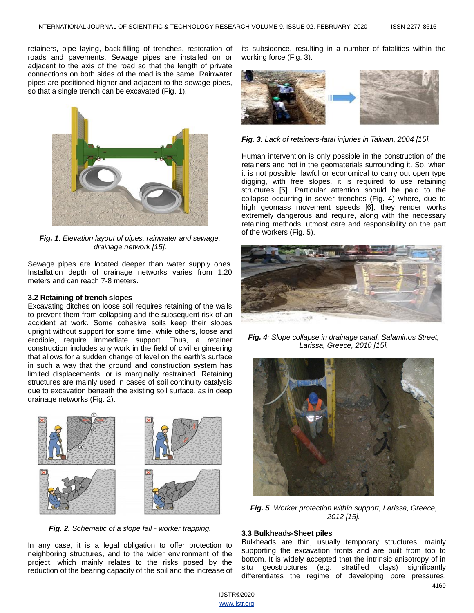retainers, pipe laying, back-filling of trenches, restoration of roads and pavements. Sewage pipes are installed on or adjacent to the axis of the road so that the length of private connections on both sides of the road is the same. Rainwater pipes are positioned higher and adjacent to the sewage pipes, so that a single trench can be excavated (Fig. 1).



*Fig. 1. Elevation layout of pipes, rainwater and sewage, drainage network [15].*

Sewage pipes are located deeper than water supply ones. Installation depth of drainage networks varies from 1.20 meters and can reach 7-8 meters.

#### **3.2 Retaining of trench slopes**

Excavating ditches on loose soil requires retaining of the walls to prevent them from collapsing and the subsequent risk of an accident at work. Some cohesive soils keep their slopes upright without support for some time, while others, loose and erodible, require immediate support. Thus, a retainer construction includes any work in the field of civil engineering that allows for a sudden change of level on the earth's surface in such a way that the ground and construction system has limited displacements, or is marginally restrained. Retaining structures are mainly used in cases of soil continuity catalysis due to excavation beneath the existing soil surface, as in deep drainage networks (Fig. 2).



*Fig. 2. Schematic of a slope fall - worker trapping.*

In any case, it is a legal obligation to offer protection to neighboring structures, and to the wider environment of the project, which mainly relates to the risks posed by the reduction of the bearing capacity of the soil and the increase of its subsidence, resulting in a number of fatalities within the working force (Fig. 3).



*Fig. 3. Lack of retainers-fatal injuries in Taiwan, 2004 [15].*

Human intervention is only possible in the construction of the retainers and not in the geomaterials surrounding it. So, when it is not possible, lawful or economical to carry out open type digging, with free slopes, it is required to use retaining structures [5]. Particular attention should be paid to the collapse occurring in sewer trenches (Fig. 4) where, due to high geomass movement speeds [6], they render works extremely dangerous and require, along with the necessary retaining methods, utmost care and responsibility on the part of the workers (Fig. 5).



*Fig. 4: Slope collapse in drainage canal, Salaminos Street, Larissa, Greece, 2010 [15].*



*Fig. 5. Worker protection within support, Larissa, Greece, 2012 [15].*

#### **3.3 Bulkheads-Sheet piles**

4169 Bulkheads are thin, usually temporary structures, mainly supporting the excavation fronts and are built from top to bottom. It is widely accepted that the intrinsic anisotropy of in situ geostructures (e.g. stratified clays) significantly differentiates the regime of developing pore pressures,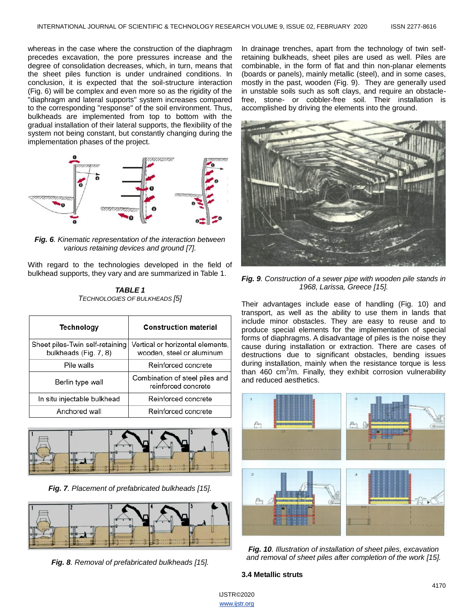whereas in the case where the construction of the diaphragm precedes excavation, the pore pressures increase and the degree of consolidation decreases, which, in turn, means that the sheet piles function is under undrained conditions. In conclusion, it is expected that the soil-structure interaction (Fig. 6) will be complex and even more so as the rigidity of the "diaphragm and lateral supports" system increases compared to the corresponding "response" of the soil environment. Thus, bulkheads are implemented from top to bottom with the gradual installation of their lateral supports, the flexibility of the system not being constant, but constantly changing during the implementation phases of the project.



*Fig. 6. Kinematic representation of the interaction between various retaining devices and ground [7].*

With regard to the technologies developed in the field of bulkhead supports, they vary and are summarized in Table 1.

*TABLE 1 TECHNOLOGIES OF BULKHEADS [5]*

| Technology                                               | <b>Construction material</b>                                  |  |
|----------------------------------------------------------|---------------------------------------------------------------|--|
| Sheet piles-Twin self-retaining<br>bulkheads (Fig. 7, 8) | Vertical or horizontal elements,<br>wooden, steel or aluminum |  |
| Pile walls                                               | Reinforced concrete                                           |  |
| Berlin type wall                                         | Combination of steel piles and<br>reinforced concrete         |  |
| In situ injectable bulkhead                              | Reinforced concrete                                           |  |
| Anchored wall                                            | Reinforced concrete                                           |  |



*Fig. 7. Placement of prefabricated bulkheads [15].*



*Fig. 8. Removal of prefabricated bulkheads [15].*

In drainage trenches, apart from the technology of twin selfretaining bulkheads, sheet piles are used as well. Piles are combinable, in the form of flat and thin non-planar elements (boards or panels), mainly metallic (steel), and in some cases, mostly in the past, wooden (Fig. 9). They are generally used in unstable soils such as soft clays, and require an obstaclefree, stone- or cobbler-free soil. Their installation is accomplished by driving the elements into the ground.



*Fig. 9. Construction of a sewer pipe with wooden pile stands in 1968, Larissa, Greece [15].*

Their advantages include ease of handling (Fig. 10) and transport, as well as the ability to use them in lands that include minor obstacles. They are easy to reuse and to produce special elements for the implementation of special forms of diaphragms. A disadvantage of piles is the noise they cause during installation or extraction. There are cases of destructions due to significant obstacles, bending issues during installation, mainly when the resistance torque is less than 460 cm<sup>3</sup>/m. Finally, they exhibit corrosion vulnerability and reduced aesthetics.



*Fig. 10. Illustration of installation of sheet piles, excavation and removal of sheet piles after completion of the work [15].*

#### **3.4 Metallic struts**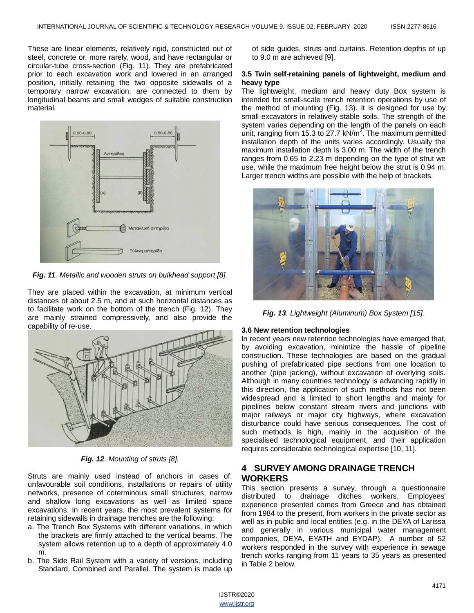These are linear elements, relatively rigid, constructed out of steel, concrete or, more rarely, wood, and have rectangular or circular-tube cross-section (Fig. 11). They are prefabricated prior to each excavation work and lowered in an arranged position, initially retaining the two opposite sidewalls of a temporary narrow excavation, are connected to them by longitudinal beams and small wedges of suitable construction material.



*Fig. 11. Metallic and wooden struts on bulkhead support [8].*

They are placed within the excavation, at minimum vertical distances of about 2.5 m, and at such horizontal distances as to facilitate work on the bottom of the trench (Fig. 12). They are mainly strained compressively, and also provide the capability of re-use.



*Fig. 12. Mounting of struts [8].*

Struts are mainly used instead of anchors in cases of: unfavourable soil conditions, installations or repairs of utility networks, presence of coterminous small structures, narrow and shallow long excavations as well as limited space excavations. In recent years, the most prevalent systems for retaining sidewalls in drainage trenches are the following:

- a. The Trench Box Systems with different variations, in which the brackets are firmly attached to the vertical beams. The system allows retention up to a depth of approximately 4.0 m.
- b. The Side Rail System with a variety of versions, including Standard, Combined and Parallel. The system is made up

of side guides, struts and curtains. Retention depths of up to 9.0 m are achieved [9].

#### **3.5 Twin self-retaining panels of lightweight, medium and heavy type**

The lightweight, medium and heavy duty Box system is intended for small-scale trench retention operations by use of the method of mounting (Fig. 13). It is designed for use by small excavators in relatively stable soils. The strength of the system varies depending on the length of the panels on each unit, ranging from 15.3 to 27.7 kN/m<sup>2</sup>. The maximum permitted installation depth of the units varies accordingly. Usually the maximum installation depth is 3.00 m. The width of the trench ranges from 0.65 to 2.23 m depending on the type of strut we use, while the maximum free height below the strut is 0.94 m. Larger trench widths are possible with the help of brackets.



*Fig. 13. Lightweight (Aluminum) Box System [15].*

#### **3.6 New retention technologies**

In recent years new retention technologies have emerged that, by avoiding excavation, minimize the hassle of pipeline construction. These technologies are based on the gradual pushing of prefabricated pipe sections from one location to another (pipe jacking), without excavation of overlying soils. Although in many countries technology is advancing rapidly in this direction, the application of such methods has not been widespread and is limited to short lengths and mainly for pipelines below constant stream rivers and junctions with major railways or major city highways, where excavation disturbance could have serious consequences. The cost of such methods is high, mainly in the acquisition of the specialised technological equipment, and their application requires considerable technological expertise [10, 11].

# **4 SURVEY AMONG DRAINAGE TRENCH WORKERS**

This section presents a survey, through a questionnaire distributed to drainage ditches workers. Employees' experience presented comes from Greece and has obtained from 1984 to the present, from workers in the private sector as well as in public and local entities (e.g. in the DEYA of Larissa and generally in various municipal water management companies, DEYA, EYATH and EYDAP). A number of 52 workers responded in the survey with experience in sewage trench works ranging from 11 years to 35 years as presented in Table 2 below.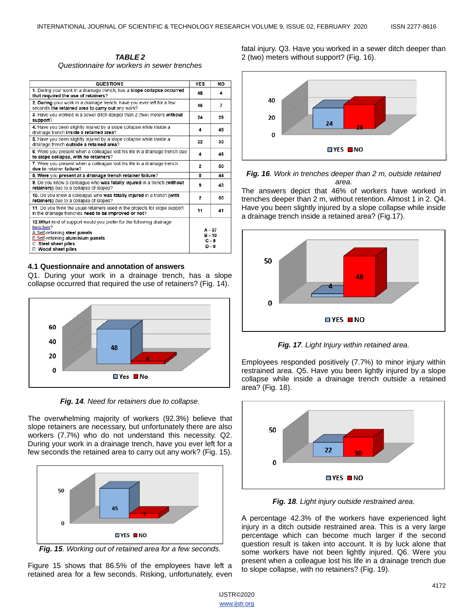*TABLE 2 Questionnaire for workers in sewer trenches*

| <b>QUESTIONS</b>                                                                                                                                                                                       | <b>YES</b>                                 | <b>NO</b> |
|--------------------------------------------------------------------------------------------------------------------------------------------------------------------------------------------------------|--------------------------------------------|-----------|
| 1. During your work in a drainage trench, has a slope collapse occurred<br>that required the use of retainers?                                                                                         |                                            | 4         |
| 2. During your work in a drainage trench, have you ever left for a few<br>seconds the retained area to carry out any work?                                                                             | 45                                         | 7         |
| 3. Have you worked in a sewer ditch deeper than 2 (two) meters without<br>support?                                                                                                                     | 24                                         | 28        |
| 4. Have you been slightly injured by a slope collapse while inside a<br>drainage trench inside a retained area?                                                                                        | 4                                          | 48        |
| 5. Have you been slightly injured by a slope collapse while inside a<br>drainage trench outside a retained area?                                                                                       | 22                                         | 30        |
| 6. Were you present when a colleague lost his life in a drainage trench due<br>to slope collapse, with no retainers?                                                                                   | 4                                          | 48        |
| 7. Were you present when a colleague lost his life in a drainage trench<br>due to retainer failure?                                                                                                    | 2                                          | 50        |
| 8. Were you present at a drainage trench retainer failure?                                                                                                                                             |                                            | 44        |
| 9. Do you know a colleague who was fatally injured in a trench (without<br>retainers) due to a collapse of slopes?                                                                                     | 9                                          | 43        |
| 10. Do you know a colleague who was fatally injured in a trench (with<br>retainers) due to a collapse of slopes?                                                                                       | 2                                          | 50        |
| 11. Do you think the usual retainers used in the projects for slope support<br>in the drainage trenches need to be improved or not?                                                                    | 11                                         | 41        |
| 12. What kind of support would you prefer for the following drainage<br>trenches?<br>A.Self-retaining steel panels<br>B.Self-retaining aluminium panels<br>C. Steel sheet piles<br>D. Wood sheet piles | $A - 37$<br>$B - 10$<br>$C - 5$<br>$D - 0$ |           |

#### **4.1 Questionnaire and annotation of answers**

Q1. During your work in a drainage trench, has a slope collapse occurred that required the use of retainers? (Fig. 14).



*Fig. 14. Need for retainers due to collapse.*

The overwhelming majority of workers (92.3%) believe that slope retainers are necessary, but unfortunately there are also workers (7.7%) who do not understand this necessity. Q2. During your work in a drainage trench, have you ever left for a few seconds the retained area to carry out any work? (Fig. 15).



*Fig. 15. Working out of retained area for a few seconds.*

Figure 15 shows that 86.5% of the employees have left a retained area for a few seconds. Risking, unfortunately, even fatal injury. Q3. Have you worked in a sewer ditch deeper than 2 (two) meters without support? (Fig. 16).





The answers depict that 46% of workers have worked in trenches deeper than 2 m, without retention. Almost 1 in 2. Q4. Have you been slightly injured by a slope collapse while inside a drainage trench inside a retained area? (Fig.17).



*Fig. 17. Light Injury within retained area.*

Employees responded positively (7.7%) to minor injury within restrained area. Q5. Have you been lightly injured by a slope collapse while inside a drainage trench outside a retained area? (Fig. 18).



*Fig. 18. Light injury outside restrained area.*

Α percentage 42.3% of the workers have experienced light injury in a ditch outside restrained area. This is a very large percentage which can become much larger if the second question result is taken into account. It is by luck alone that some workers have not been lightly injured. Q6. Were you present when a colleague lost his life in a drainage trench due to slope collapse, with no retainers? (Fig. 19).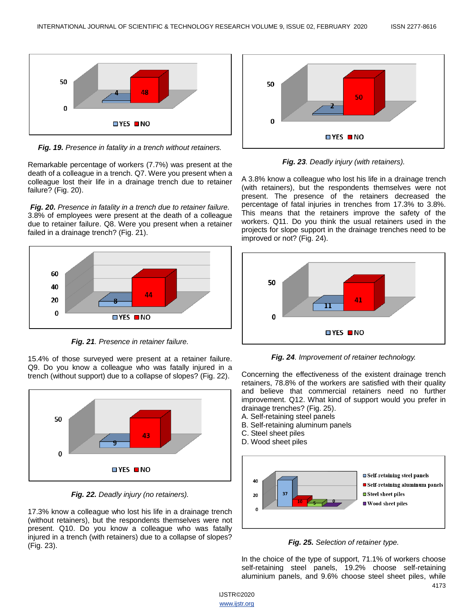

*Fig. 19. Presence in fatality in a trench without retainers.*

Remarkable percentage of workers (7.7%) was present at the death of a colleague in a trench. Q7. Were you present when a colleague lost their life in a drainage trench due to retainer failure? (Fig. 20).

*Fig. 20. Presence in fatality in a trench due to retainer failure.* 3.8% of employees were present at the death of a colleague due to retainer failure. Q8. Were you present when a retainer failed in a drainage trench? (Fig. 21).



*Fig. 21. Presence in retainer failure.*

15.4% of those surveyed were present at a retainer failure. Q9. Do you know a colleague who was fatally injured in a trench (without support) due to a collapse of slopes? (Fig. 22).



*Fig. 22. Deadly injury (no retainers).*

17.3% know a colleague who lost his life in a drainage trench (without retainers), but the respondents themselves were not present. Q10. Do you know a colleague who was fatally injured in a trench (with retainers) due to a collapse of slopes? (Fig. 23).



*Fig. 23. Deadly injury (with retainers).*

A 3.8% know a colleague who lost his life in a drainage trench (with retainers), but the respondents themselves were not present. The presence of the retainers decreased the percentage of fatal injuries in trenches from 17.3% to 3.8%. This means that the retainers improve the safety of the workers. Q11. Do you think the usual retainers used in the projects for slope support in the drainage trenches need to be improved or not? (Fig. 24).



*Fig. 24. Improvement of retainer technology.*

Concerning the effectiveness of the existent drainage trench retainers, 78.8% of the workers are satisfied with their quality and believe that commercial retainers need no further improvement. Q12. What kind of support would you prefer in drainage trenches? (Fig. 25).

A. Self-retaining steel panels

- B. Self-retaining aluminum panels
- C. Steel sheet piles
- D. Wood sheet piles





In the choice of the type of support, 71.1% of workers choose self-retaining steel panels, 19.2% choose self-retaining aluminium panels, and 9.6% choose steel sheet piles, while

IJSTR©2020 www.ijstr.org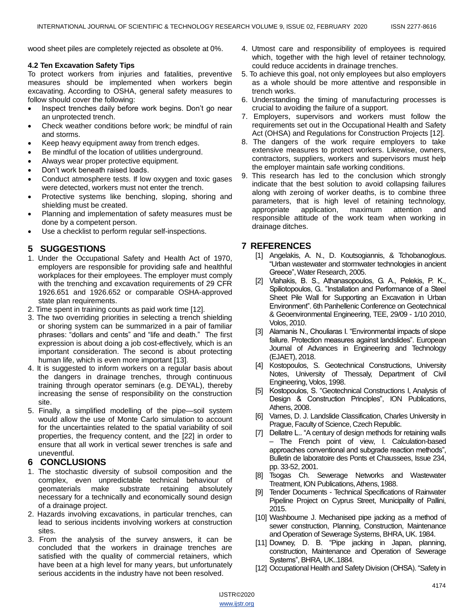wood sheet piles are completely rejected as obsolete at 0%.

#### **4.2 Ten Excavation Safety Tips**

To protect workers from injuries and fatalities, preventive measures should be implemented when workers begin excavating. According to OSHA, general safety measures to follow should cover the following:

- Inspect trenches daily before work begins. Don't go near an unprotected trench.
- Check weather conditions before work; be mindful of rain and storms.
- Keep heavy equipment away from trench edges.
- Be mindful of the location of utilities underground.
- Always wear proper protective equipment.
- Don't work beneath raised loads.
- Conduct atmosphere tests. If low oxygen and toxic gases were detected, workers must not enter the trench.
- Protective systems like benching, sloping, shoring and shielding must be created.
- Planning and implementation of safety measures must be done by a competent person.
- Use a checklist to perform regular self-inspections.

# **5 SUGGESTIONS**

- 1. Under the Occupational Safety and Health Act of 1970, employers are responsible for providing safe and healthful workplaces for their employees. The employer must comply with the trenching and excavation requirements of 29 CFR 1926.651 and 1926.652 or comparable OSHA-approved state plan requirements.
- 2. Time spent in training counts as paid work time [12].
- 3. The two overriding priorities in selecting a trench shielding or shoring system can be summarized in a pair of familiar phrases: "dollars and cents" and "life and death." The first expression is about doing a job cost-effectively, which is an important consideration. The second is about protecting human life, which is even more important [13].
- 4. It is suggested to inform workers on a regular basis about the dangers in drainage trenches, through continuous training through operator seminars (e.g. DEYAL), thereby increasing the sense of responsibility on the construction site.
- 5. Finally, a simplified modelling of the pipe—soil system would allow the use of Monte Carlo simulation to account for the uncertainties related to the spatial variability of soil properties, the frequency content, and the [22] in order to ensure that all work in vertical sewer trenches is safe and uneventful.

# **6 CONCLUSIONS**

- 1. The stochastic diversity of subsoil composition and the complex, even unpredictable technical behaviour of geomaterials make substrate retaining absolutely necessary for a technically and economically sound design of a drainage project.
- 2. Hazards involving excavations, in particular trenches, can lead to serious incidents involving workers at construction sites.
- 3. From the analysis of the survey answers, it can be concluded that the workers in drainage trenches are satisfied with the quality of commercial retainers, which have been at a high level for many years, but unfortunately serious accidents in the industry have not been resolved.
- 4. Utmost care and responsibility of employees is required which, together with the high level of retainer technology, could reduce accidents in drainage trenches.
- 5. To achieve this goal, not only employees but also employers as a whole should be more attentive and responsible in trench works.
- 6. Understanding the timing of manufacturing processes is crucial to avoiding the failure of a support.
- 7. Employers, supervisors and workers must follow the requirements set out in the Occupational Health and Safety Act (OHSA) and Regulations for Construction Projects [12].
- 8. The dangers of the work require employers to take extensive measures to protect workers. Likewise, owners, contractors, suppliers, workers and supervisors must help the employer maintain safe working conditions.
- 9. This research has led to the conclusion which strongly indicate that the best solution to avoid collapsing failures along with zeroing of worker deaths, is to combine three parameters, that is high level of retaining technology, appropriate application, maximum attention and responsible attitude of the work team when working in drainage ditches.

# **7 REFERENCES**

- [1] Angelakis, A. N., D. Koutsogiannis, & Tchobanoglous. ―Urban wastewater and stormwater technologies in ancient Greece‖, Water Research, 2005.
- [2] Vlahakis, Β. S., Αthanasopoulos, G. Α., Pelekis, P. Κ., Spiliotopoulos, G. "Installation and Performance of a Steel Sheet Pile Wall for Supporting an Excavation in Urban Environment". 6th Panhellenic Conference on Geotechnical & Geoenvironmental Engineering, TEE, 29/09 - 1/10 2010, Volos, 2010.
- [3] Alamanis N., Chouliaras I. "Environmental impacts of slope failure. Protection measures against landslides". European Journal of Advances in Engineering and Technology (EJAET), 2018.
- [4] Kostopoulos, S. Geotechnical Constructions, University Notes, University of Thessaly, Department of Civil Engineering, Volos, 1998.
- [5] Kostopoulos, S. "Geotechnical Constructions I, Analysis of Design & Construction Principles", ION Publications, Athens, 2008.
- [6] Varnes, D. J. Landslide Classification, Charles University in Prague, Faculty of Science, Czech Republic.
- [7] Dellatre L.. "A century of design methods for retaining walls – The French point of view, I. Calculation-based approaches conventional and subgrade reaction methods", Bulletin de laboratoire des Ponts et Chaussees, Issue 234, pp. 33-52, 2001.
- [8] Tsogas Ch. Sewerage Networks and Wastewater Treatment, ION Publications, Athens, 1988.
- [9] Tender Documents Technical Specifications of Rainwater Pipeline Project on Cyprus Street, Municipality of Pallini, 2015.
- [10] Washbourne J. Mechanised pipe jacking as a method of sewer construction, Planning, Construction, Maintenance and Operation of Sewerage Systems, BHRA, UK. 1984.
- [11] Downey, D. B. "Pipe jacking in Japan, planning, construction, Maintenance and Operation of Sewerage Systems", BHRA, UK..1884.
- [12] Occupational Health and Safety Division (OHSA). "Safety in